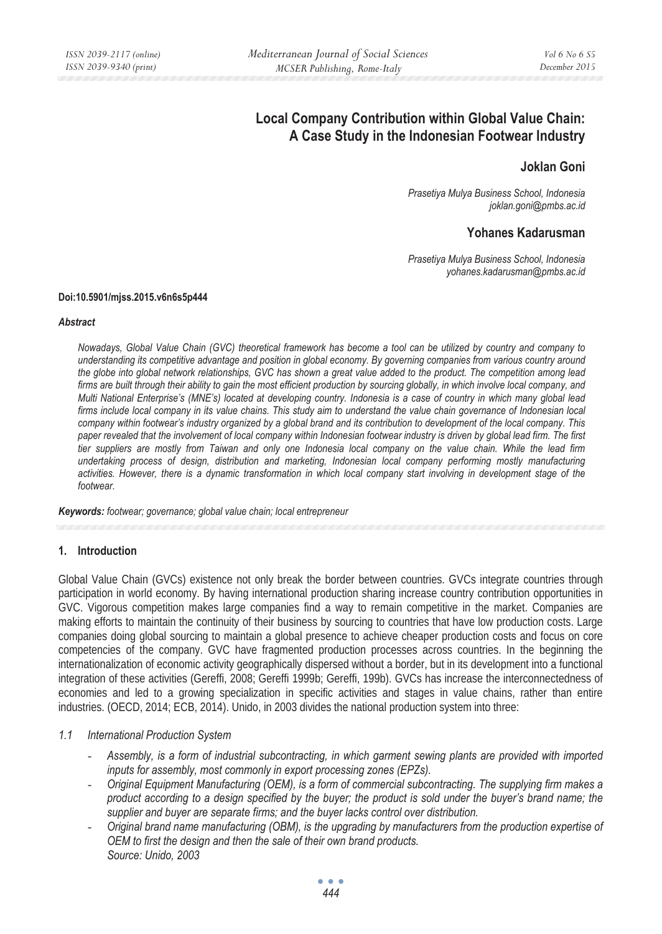# **Local Company Contribution within Global Value Chain: A Case Study in the Indonesian Footwear Industry**

## **Joklan Goni**

*Prasetiya Mulya Business School, Indonesia joklan.goni@pmbs.ac.id* 

## **Yohanes Kadarusman**

*Prasetiya Mulya Business School, Indonesia yohanes.kadarusman@pmbs.ac.id* 

#### **Doi:10.5901/mjss.2015.v6n6s5p444**

#### *Abstract*

*Nowadays, Global Value Chain (GVC) theoretical framework has become a tool can be utilized by country and company to understanding its competitive advantage and position in global economy. By governing companies from various country around the globe into global network relationships, GVC has shown a great value added to the product. The competition among lead firms are built through their ability to gain the most efficient production by sourcing globally, in which involve local company, and Multi National Enterprise's (MNE's) located at developing country. Indonesia is a case of country in which many global lead firms include local company in its value chains. This study aim to understand the value chain governance of Indonesian local company within footwear's industry organized by a global brand and its contribution to development of the local company. This paper revealed that the involvement of local company within Indonesian footwear industry is driven by global lead firm. The first tier suppliers are mostly from Taiwan and only one Indonesia local company on the value chain. While the lead firm undertaking process of design, distribution and marketing, Indonesian local company performing mostly manufacturing activities. However, there is a dynamic transformation in which local company start involving in development stage of the footwear.* 

*Keywords: footwear; governance; global value chain; local entrepreneur* 

### **1. Introduction**

Global Value Chain (GVCs) existence not only break the border between countries. GVCs integrate countries through participation in world economy. By having international production sharing increase country contribution opportunities in GVC. Vigorous competition makes large companies find a way to remain competitive in the market. Companies are making efforts to maintain the continuity of their business by sourcing to countries that have low production costs. Large companies doing global sourcing to maintain a global presence to achieve cheaper production costs and focus on core competencies of the company. GVC have fragmented production processes across countries. In the beginning the internationalization of economic activity geographically dispersed without a border, but in its development into a functional integration of these activities (Gereffi, 2008; Gereffi 1999b; Gereffi, 199b). GVCs has increase the interconnectedness of economies and led to a growing specialization in specific activities and stages in value chains, rather than entire industries. (OECD, 2014; ECB, 2014). Unido, in 2003 divides the national production system into three:

### *1.1 International Production System*

- *Assembly, is a form of industrial subcontracting, in which garment sewing plants are provided with imported inputs for assembly, most commonly in export processing zones (EPZs).*
- *Original Equipment Manufacturing (OEM), is a form of commercial subcontracting. The supplying firm makes a product according to a design specified by the buyer; the product is sold under the buyer's brand name; the supplier and buyer are separate firms; and the buyer lacks control over distribution.*
- *Original brand name manufacturing (OBM), is the upgrading by manufacturers from the production expertise of OEM to first the design and then the sale of their own brand products. Source: Unido, 2003*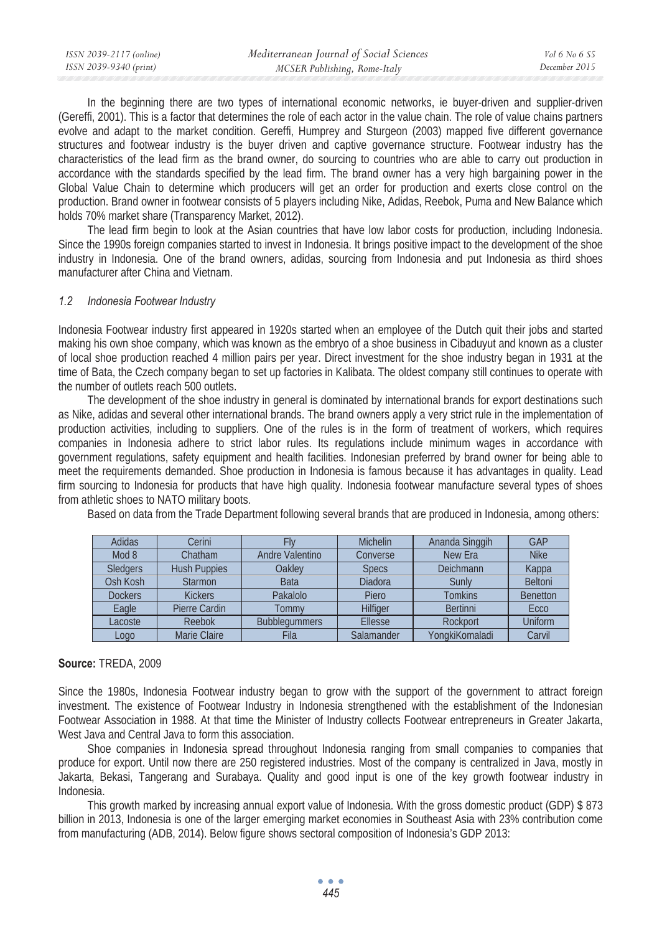| ISSN 2039-2117 (online) | Mediterranean Journal of Social Sciences | Vol 6 No 6 S5 |
|-------------------------|------------------------------------------|---------------|
| ISSN 2039-9340 (print)  | MCSER Publishing, Rome-Italy             | December 2015 |

In the beginning there are two types of international economic networks, ie buyer-driven and supplier-driven (Gereffi, 2001). This is a factor that determines the role of each actor in the value chain. The role of value chains partners evolve and adapt to the market condition. Gereffi, Humprey and Sturgeon (2003) mapped five different governance structures and footwear industry is the buyer driven and captive governance structure. Footwear industry has the characteristics of the lead firm as the brand owner, do sourcing to countries who are able to carry out production in accordance with the standards specified by the lead firm. The brand owner has a very high bargaining power in the Global Value Chain to determine which producers will get an order for production and exerts close control on the production. Brand owner in footwear consists of 5 players including Nike, Adidas, Reebok, Puma and New Balance which holds 70% market share (Transparency Market, 2012).

The lead firm begin to look at the Asian countries that have low labor costs for production, including Indonesia. Since the 1990s foreign companies started to invest in Indonesia. It brings positive impact to the development of the shoe industry in Indonesia. One of the brand owners, adidas, sourcing from Indonesia and put Indonesia as third shoes manufacturer after China and Vietnam.

#### *1.2 Indonesia Footwear Industry*

Indonesia Footwear industry first appeared in 1920s started when an employee of the Dutch quit their jobs and started making his own shoe company, which was known as the embryo of a shoe business in Cibaduyut and known as a cluster of local shoe production reached 4 million pairs per year. Direct investment for the shoe industry began in 1931 at the time of Bata, the Czech company began to set up factories in Kalibata. The oldest company still continues to operate with the number of outlets reach 500 outlets.

The development of the shoe industry in general is dominated by international brands for export destinations such as Nike, adidas and several other international brands. The brand owners apply a very strict rule in the implementation of production activities, including to suppliers. One of the rules is in the form of treatment of workers, which requires companies in Indonesia adhere to strict labor rules. Its regulations include minimum wages in accordance with government regulations, safety equipment and health facilities. Indonesian preferred by brand owner for being able to meet the requirements demanded. Shoe production in Indonesia is famous because it has advantages in quality. Lead firm sourcing to Indonesia for products that have high quality. Indonesia footwear manufacture several types of shoes from athletic shoes to NATO military boots.

| Adidas          | Cerini              |                      | <b>Michelin</b> | Ananda Singgih  | GAP             |
|-----------------|---------------------|----------------------|-----------------|-----------------|-----------------|
| Mod 8           | Chatham             | Andre Valentino      | Converse        | New Era         | <b>Nike</b>     |
| <b>Sledgers</b> | <b>Hush Puppies</b> | Oakley               | <b>Specs</b>    | Deichmann       | Kappa           |
| Osh Kosh        | <b>Starmon</b>      | <b>Bata</b>          | Diadora         | Sunly           | <b>Beltoni</b>  |
| <b>Dockers</b>  | <b>Kickers</b>      | Pakalolo             | Piero           | <b>Tomkins</b>  | <b>Benetton</b> |
| Eagle           | Pierre Cardin       | Tommy                | Hilfiger        | <b>Bertinni</b> | Ecco            |
| Lacoste         | Reebok              | <b>Bubblegummers</b> | Ellesse         | Rockport        | Uniform         |
| Logo            | Marie Claire        | Fila                 | Salamander      | YongkiKomaladi  | Carvil          |

Based on data from the Trade Department following several brands that are produced in Indonesia, among others:

### **Source:** TREDA, 2009

Since the 1980s, Indonesia Footwear industry began to grow with the support of the government to attract foreign investment. The existence of Footwear Industry in Indonesia strengthened with the establishment of the Indonesian Footwear Association in 1988. At that time the Minister of Industry collects Footwear entrepreneurs in Greater Jakarta, West Java and Central Java to form this association.

Shoe companies in Indonesia spread throughout Indonesia ranging from small companies to companies that produce for export. Until now there are 250 registered industries. Most of the company is centralized in Java, mostly in Jakarta, Bekasi, Tangerang and Surabaya. Quality and good input is one of the key growth footwear industry in Indonesia.

This growth marked by increasing annual export value of Indonesia. With the gross domestic product (GDP) \$ 873 billion in 2013, Indonesia is one of the larger emerging market economies in Southeast Asia with 23% contribution come from manufacturing (ADB, 2014). Below figure shows sectoral composition of Indonesia's GDP 2013: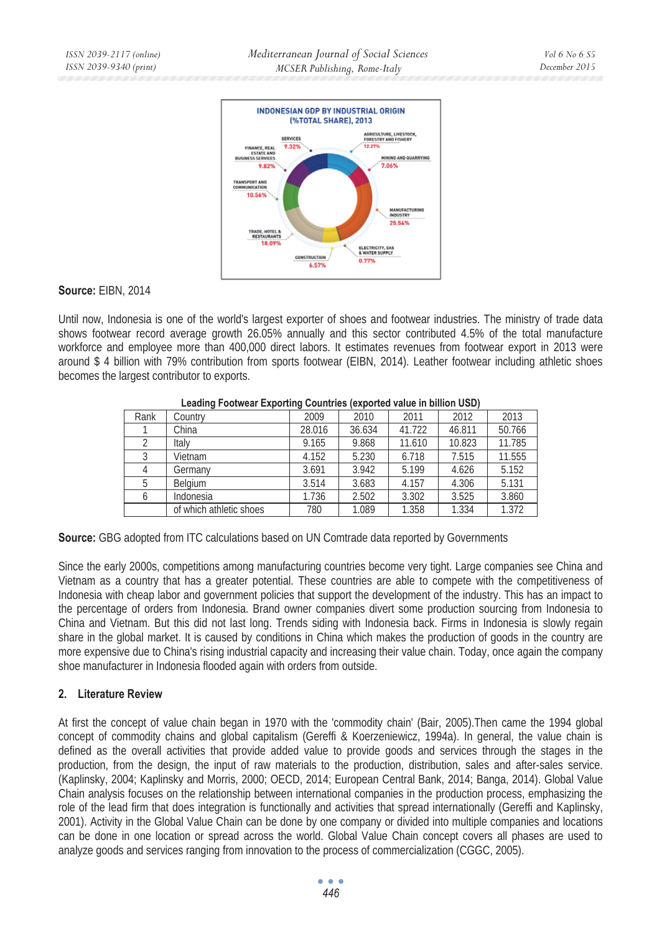

### **Source:** FIBN 2014

Until now, Indonesia is one of the world's largest exporter of shoes and footwear industries. The ministry of trade data shows footwear record average growth 26.05% annually and this sector contributed 4.5% of the total manufacture workforce and employee more than 400,000 direct labors. It estimates revenues from footwear export in 2013 were around \$ 4 billion with 79% contribution from sports footwear (EIBN, 2014). Leather footwear including athletic shoes becomes the largest contributor to exports.

| Rank | Countrv                 | 2009   | 2010   | 2011   | 2012   | 2013   |  |
|------|-------------------------|--------|--------|--------|--------|--------|--|
|      | China                   | 28.016 | 36.634 | 41.722 | 46.811 | 50.766 |  |
|      | Italy                   | 9.165  | 9.868  | 11.610 | 10.823 | 11.785 |  |
|      | Vietnam                 | 4.152  | 5.230  | 6.718  | 7.515  | 11.555 |  |
|      | Germany                 | 3.691  | 3.942  | 5.199  | 4.626  | 5.152  |  |
| 5    | Belaium                 | 3.514  | 3.683  | 4.157  | 4.306  | 5.131  |  |
| 6    | Indonesia               | 1.736  | 2.502  | 3.302  | 3.525  | 3.860  |  |
|      | of which athletic shoes | 780    | 1.089  | 1.358  | 1.334  | 1.372  |  |

#### **Leading Footwear Exporting Countries (exported value in billion USD)**

**Source:** GBG adopted from ITC calculations based on UN Comtrade data reported by Governments

Since the early 2000s, competitions among manufacturing countries become very tight. Large companies see China and Vietnam as a country that has a greater potential. These countries are able to compete with the competitiveness of Indonesia with cheap labor and government policies that support the development of the industry. This has an impact to the percentage of orders from Indonesia. Brand owner companies divert some production sourcing from Indonesia to China and Vietnam. But this did not last long. Trends siding with Indonesia back. Firms in Indonesia is slowly regain share in the global market. It is caused by conditions in China which makes the production of goods in the country are more expensive due to China's rising industrial capacity and increasing their value chain. Today, once again the company shoe manufacturer in Indonesia flooded again with orders from outside.

## **2. Literature Review**

At first the concept of value chain began in 1970 with the 'commodity chain' (Bair, 2005).Then came the 1994 global concept of commodity chains and global capitalism (Gereffi & Koerzeniewicz, 1994a). In general, the value chain is defined as the overall activities that provide added value to provide goods and services through the stages in the production, from the design, the input of raw materials to the production, distribution, sales and after-sales service. (Kaplinsky, 2004; Kaplinsky and Morris, 2000; OECD, 2014; European Central Bank, 2014; Banga, 2014). Global Value Chain analysis focuses on the relationship between international companies in the production process, emphasizing the role of the lead firm that does integration is functionally and activities that spread internationally (Gereffi and Kaplinsky, 2001). Activity in the Global Value Chain can be done by one company or divided into multiple companies and locations can be done in one location or spread across the world. Global Value Chain concept covers all phases are used to analyze goods and services ranging from innovation to the process of commercialization (CGGC, 2005).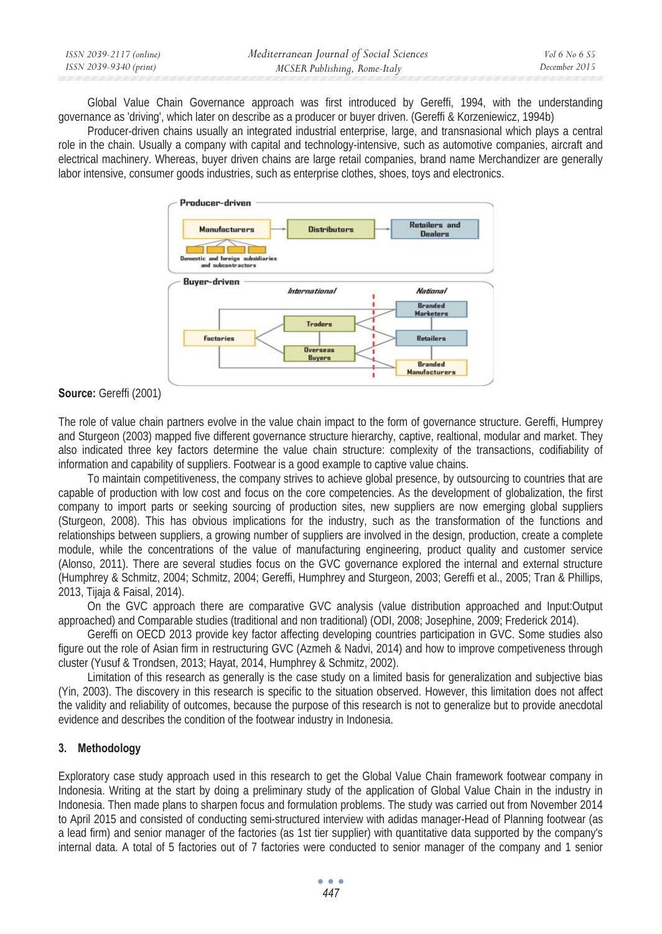| ISSN 2039-2117 (online) | Mediterranean Journal of Social Sciences | Vol 6 No 6 S5 |
|-------------------------|------------------------------------------|---------------|
| ISSN 2039-9340 (print)  | MCSER Publishing, Rome-Italy             | December 2015 |

Global Value Chain Governance approach was first introduced by Gereffi, 1994, with the understanding governance as 'driving', which later on describe as a producer or buyer driven. (Gereffi & Korzeniewicz, 1994b)

Producer-driven chains usually an integrated industrial enterprise, large, and transnasional which plays a central role in the chain. Usually a company with capital and technology-intensive, such as automotive companies, aircraft and electrical machinery. Whereas, buyer driven chains are large retail companies, brand name Merchandizer are generally labor intensive, consumer goods industries, such as enterprise clothes, shoes, toys and electronics.



## **Source:** Gereffi (2001)

The role of value chain partners evolve in the value chain impact to the form of governance structure. Gereffi, Humprey and Sturgeon (2003) mapped five different governance structure hierarchy, captive, realtional, modular and market. They also indicated three key factors determine the value chain structure: complexity of the transactions, codifiability of information and capability of suppliers. Footwear is a good example to captive value chains.

To maintain competitiveness, the company strives to achieve global presence, by outsourcing to countries that are capable of production with low cost and focus on the core competencies. As the development of globalization, the first company to import parts or seeking sourcing of production sites, new suppliers are now emerging global suppliers (Sturgeon, 2008). This has obvious implications for the industry, such as the transformation of the functions and relationships between suppliers, a growing number of suppliers are involved in the design, production, create a complete module, while the concentrations of the value of manufacturing engineering, product quality and customer service (Alonso, 2011). There are several studies focus on the GVC governance explored the internal and external structure (Humphrey & Schmitz, 2004; Schmitz, 2004; Gereffi, Humphrey and Sturgeon, 2003; Gereffi et al., 2005; Tran & Phillips, 2013, Tijaja & Faisal, 2014).

On the GVC approach there are comparative GVC analysis (value distribution approached and Input:Output approached) and Comparable studies (traditional and non traditional) (ODI, 2008; Josephine, 2009; Frederick 2014).

Gereffi on OECD 2013 provide key factor affecting developing countries participation in GVC. Some studies also figure out the role of Asian firm in restructuring GVC (Azmeh & Nadvi, 2014) and how to improve competiveness through cluster (Yusuf & Trondsen, 2013; Hayat, 2014, Humphrey & Schmitz, 2002).

Limitation of this research as generally is the case study on a limited basis for generalization and subjective bias (Yin, 2003). The discovery in this research is specific to the situation observed. However, this limitation does not affect the validity and reliability of outcomes, because the purpose of this research is not to generalize but to provide anecdotal evidence and describes the condition of the footwear industry in Indonesia.

## **3. Methodology**

Exploratory case study approach used in this research to get the Global Value Chain framework footwear company in Indonesia. Writing at the start by doing a preliminary study of the application of Global Value Chain in the industry in Indonesia. Then made plans to sharpen focus and formulation problems. The study was carried out from November 2014 to April 2015 and consisted of conducting semi-structured interview with adidas manager-Head of Planning footwear (as a lead firm) and senior manager of the factories (as 1st tier supplier) with quantitative data supported by the company's internal data. A total of 5 factories out of 7 factories were conducted to senior manager of the company and 1 senior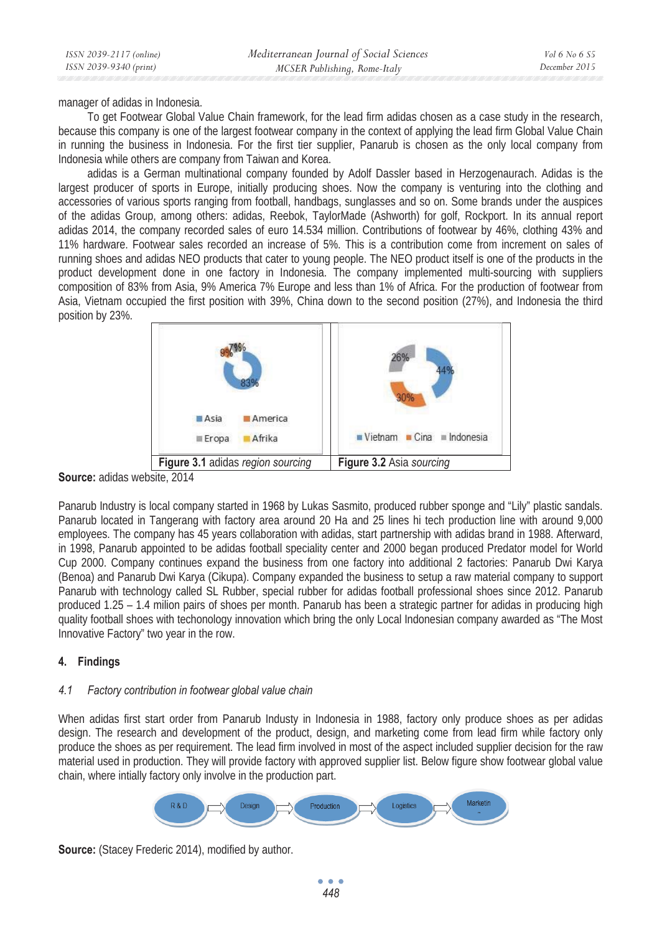manager of adidas in Indonesia.

To get Footwear Global Value Chain framework, for the lead firm adidas chosen as a case study in the research, because this company is one of the largest footwear company in the context of applying the lead firm Global Value Chain in running the business in Indonesia. For the first tier supplier, Panarub is chosen as the only local company from Indonesia while others are company from Taiwan and Korea.

adidas is a German multinational company founded by Adolf Dassler based in Herzogenaurach. Adidas is the largest producer of sports in Europe, initially producing shoes. Now the company is venturing into the clothing and accessories of various sports ranging from football, handbags, sunglasses and so on. Some brands under the auspices of the adidas Group, among others: adidas, Reebok, TaylorMade (Ashworth) for golf, Rockport. In its annual report adidas 2014, the company recorded sales of euro 14.534 million. Contributions of footwear by 46%, clothing 43% and 11% hardware. Footwear sales recorded an increase of 5%. This is a contribution come from increment on sales of running shoes and adidas NEO products that cater to young people. The NEO product itself is one of the products in the product development done in one factory in Indonesia. The company implemented multi-sourcing with suppliers composition of 83% from Asia, 9% America 7% Europe and less than 1% of Africa. For the production of footwear from Asia, Vietnam occupied the first position with 39%, China down to the second position (27%), and Indonesia the third position by 23%.



**Source:** adidas website, 2014

Panarub Industry is local company started in 1968 by Lukas Sasmito, produced rubber sponge and "Lily" plastic sandals. Panarub located in Tangerang with factory area around 20 Ha and 25 lines hi tech production line with around 9,000 employees. The company has 45 years collaboration with adidas, start partnership with adidas brand in 1988. Afterward, in 1998, Panarub appointed to be adidas football speciality center and 2000 began produced Predator model for World Cup 2000. Company continues expand the business from one factory into additional 2 factories: Panarub Dwi Karya (Benoa) and Panarub Dwi Karya (Cikupa). Company expanded the business to setup a raw material company to support Panarub with technology called SL Rubber, special rubber for adidas football professional shoes since 2012. Panarub produced 1.25 – 1.4 milion pairs of shoes per month. Panarub has been a strategic partner for adidas in producing high quality football shoes with techonology innovation which bring the only Local Indonesian company awarded as "The Most Innovative Factory" two year in the row.

## **4. Findings**

### *4.1 Factory contribution in footwear global value chain*

When adidas first start order from Panarub Industy in Indonesia in 1988, factory only produce shoes as per adidas design. The research and development of the product, design, and marketing come from lead firm while factory only produce the shoes as per requirement. The lead firm involved in most of the aspect included supplier decision for the raw material used in production. They will provide factory with approved supplier list. Below figure show footwear global value chain, where intially factory only involve in the production part.



**Source:** (Stacey Frederic 2014), modified by author.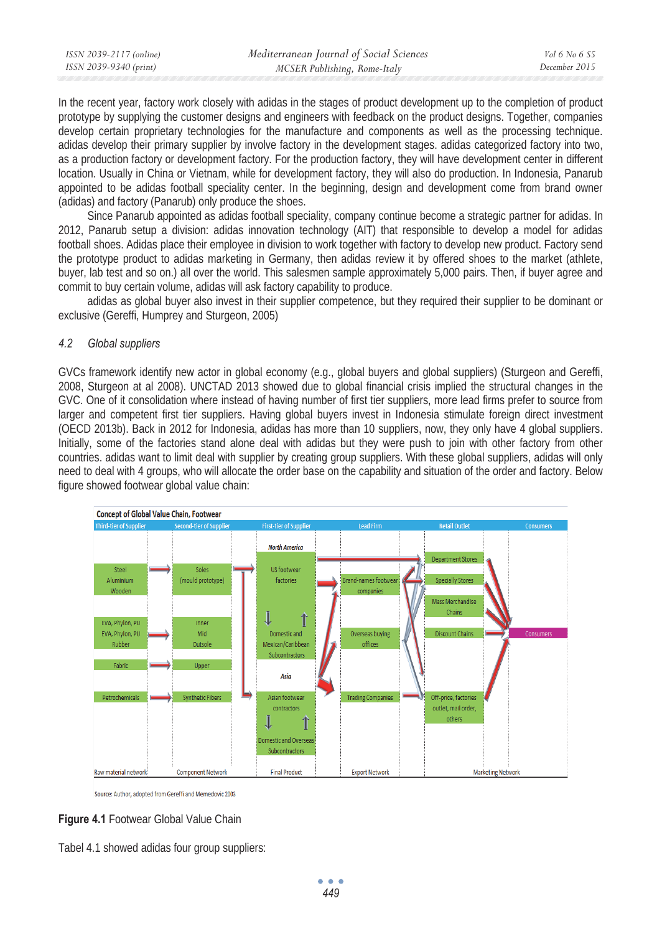| ISSN 2039-2117 (online) | Mediterranean Journal of Social Sciences | <i>Vol</i> 6 No 6 S5 |
|-------------------------|------------------------------------------|----------------------|
| ISSN 2039-9340 (print)  | MCSER Publishing, Rome-Italy             | December 2015        |

In the recent year, factory work closely with adidas in the stages of product development up to the completion of product prototype by supplying the customer designs and engineers with feedback on the product designs. Together, companies develop certain proprietary technologies for the manufacture and components as well as the processing technique. adidas develop their primary supplier by involve factory in the development stages. adidas categorized factory into two, as a production factory or development factory. For the production factory, they will have development center in different location. Usually in China or Vietnam, while for development factory, they will also do production. In Indonesia, Panarub appointed to be adidas football speciality center. In the beginning, design and development come from brand owner (adidas) and factory (Panarub) only produce the shoes.

Since Panarub appointed as adidas football speciality, company continue become a strategic partner for adidas. In 2012, Panarub setup a division: adidas innovation technology (AIT) that responsible to develop a model for adidas football shoes. Adidas place their employee in division to work together with factory to develop new product. Factory send the prototype product to adidas marketing in Germany, then adidas review it by offered shoes to the market (athlete, buyer, lab test and so on.) all over the world. This salesmen sample approximately 5,000 pairs. Then, if buyer agree and commit to buy certain volume, adidas will ask factory capability to produce.

adidas as global buyer also invest in their supplier competence, but they required their supplier to be dominant or exclusive (Gereffi, Humprey and Sturgeon, 2005)

## *4.2 Global suppliers*

GVCs framework identify new actor in global economy (e.g., global buyers and global suppliers) (Sturgeon and Gereffi, 2008, Sturgeon at al 2008). UNCTAD 2013 showed due to global financial crisis implied the structural changes in the GVC. One of it consolidation where instead of having number of first tier suppliers, more lead firms prefer to source from larger and competent first tier suppliers. Having global buyers invest in Indonesia stimulate foreign direct investment (OECD 2013b). Back in 2012 for Indonesia, adidas has more than 10 suppliers, now, they only have 4 global suppliers. Initially, some of the factories stand alone deal with adidas but they were push to join with other factory from other countries. adidas want to limit deal with supplier by creating group suppliers. With these global suppliers, adidas will only need to deal with 4 groups, who will allocate the order base on the capability and situation of the order and factory. Below figure showed footwear global value chain:



Source: Author, adopted from Gereffi and Memedovic 2003



Tabel 4.1 showed adidas four group suppliers: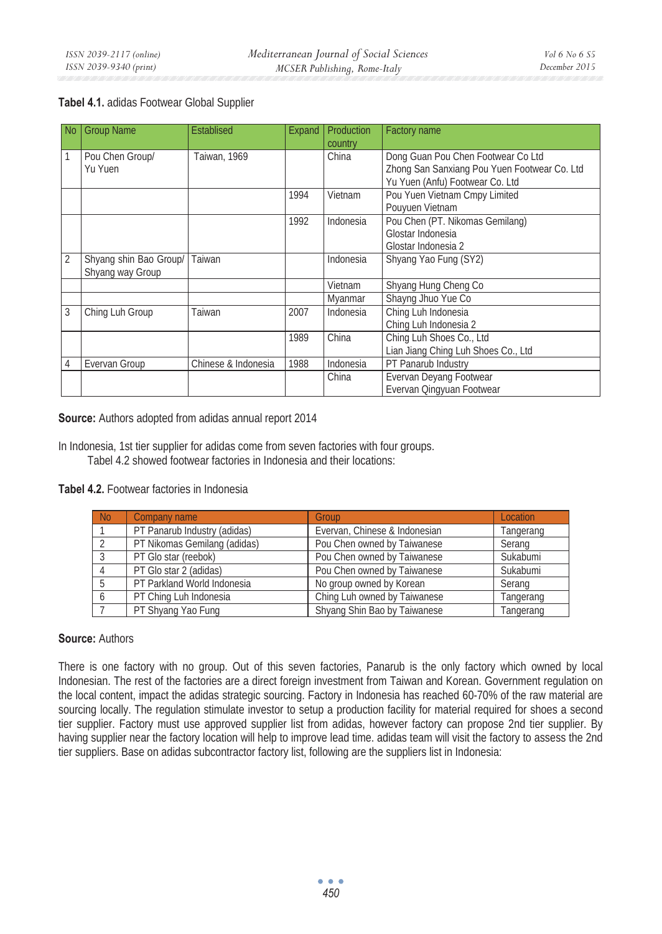## **Tabel 4.1.** adidas Footwear Global Supplier

| l No           | <b>Group Name</b>                          | <b>Establised</b>   | Expand | <b>Production</b><br>country | Factory name                                                                                                          |
|----------------|--------------------------------------------|---------------------|--------|------------------------------|-----------------------------------------------------------------------------------------------------------------------|
|                | Pou Chen Group/<br>Yu Yuen                 | Taiwan, 1969        |        | China                        | Dong Guan Pou Chen Footwear Co Ltd<br>Zhong San Sanxiang Pou Yuen Footwear Co. Ltd<br>Yu Yuen (Anfu) Footwear Co. Ltd |
|                |                                            |                     | 1994   | Vietnam                      | Pou Yuen Vietnam Cmpy Limited<br>Pouyuen Vietnam                                                                      |
|                |                                            |                     | 1992   | Indonesia                    | Pou Chen (PT. Nikomas Gemilang)<br>Glostar Indonesia<br>Glostar Indonesia 2                                           |
| $\overline{2}$ | Shyang shin Bao Group/<br>Shyang way Group | Taiwan              |        | Indonesia                    | Shyang Yao Fung (SY2)                                                                                                 |
|                |                                            |                     |        | Vietnam                      | Shyang Hung Cheng Co                                                                                                  |
|                |                                            |                     |        | Myanmar                      | Shayng Jhuo Yue Co                                                                                                    |
| 3              | Ching Luh Group                            | Taiwan              | 2007   | Indonesia                    | Ching Luh Indonesia<br>Ching Luh Indonesia 2                                                                          |
|                |                                            |                     | 1989   | China                        | Ching Luh Shoes Co., Ltd<br>Lian Jiang Ching Luh Shoes Co., Ltd                                                       |
| 4              | Evervan Group                              | Chinese & Indonesia | 1988   | Indonesia                    | PT Panarub Industry                                                                                                   |
|                |                                            |                     |        | China                        | Evervan Deyang Footwear<br>Evervan Qingyuan Footwear                                                                  |

**Source:** Authors adopted from adidas annual report 2014

In Indonesia, 1st tier supplier for adidas come from seven factories with four groups. Tabel 4.2 showed footwear factories in Indonesia and their locations:

**Tabel 4.2.** Footwear factories in Indonesia

| N <sub>0</sub> | Company name                 | Group                         | <b>Location</b> |
|----------------|------------------------------|-------------------------------|-----------------|
|                | PT Panarub Industry (adidas) | Evervan, Chinese & Indonesian | Tangerang       |
|                | PT Nikomas Gemilang (adidas) | Pou Chen owned by Taiwanese   | Serang          |
|                | PT Glo star (reebok)         | Pou Chen owned by Taiwanese   | Sukabumi        |
|                | PT Glo star 2 (adidas)       | Pou Chen owned by Taiwanese   | Sukabumi        |
|                | PT Parkland World Indonesia  | No group owned by Korean      | Serang          |
|                | PT Ching Luh Indonesia       | Ching Luh owned by Taiwanese  | Tangerang       |
|                | PT Shyang Yao Fung           | Shyang Shin Bao by Taiwanese  | Tangerang       |

## **Source:** Authors

There is one factory with no group. Out of this seven factories, Panarub is the only factory which owned by local Indonesian. The rest of the factories are a direct foreign investment from Taiwan and Korean. Government regulation on the local content, impact the adidas strategic sourcing. Factory in Indonesia has reached 60-70% of the raw material are sourcing locally. The regulation stimulate investor to setup a production facility for material required for shoes a second tier supplier. Factory must use approved supplier list from adidas, however factory can propose 2nd tier supplier. By having supplier near the factory location will help to improve lead time. adidas team will visit the factory to assess the 2nd tier suppliers. Base on adidas subcontractor factory list, following are the suppliers list in Indonesia: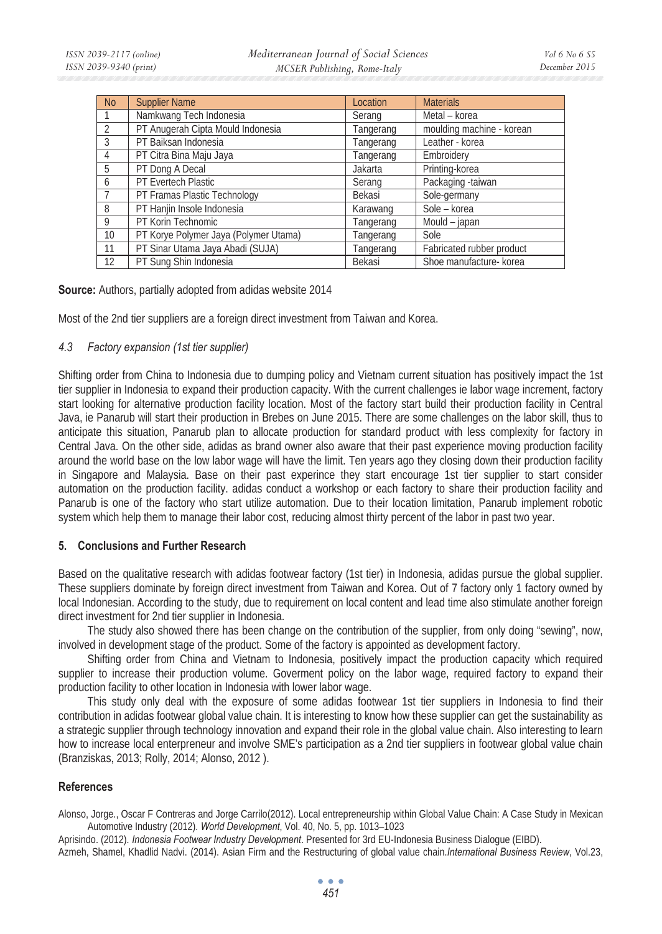| <b>No</b>      | <b>Supplier Name</b>                  | Location  | <b>Materials</b>          |
|----------------|---------------------------------------|-----------|---------------------------|
|                | Namkwang Tech Indonesia               | Serang    | Metal - korea             |
| $\overline{2}$ | PT Anugerah Cipta Mould Indonesia     | Tangerang | moulding machine - korean |
| $\overline{3}$ | PT Baiksan Indonesia                  | Tangerang | Leather - korea           |
| $\overline{4}$ | PT Citra Bina Maju Jaya               | Tangerang | Embroidery                |
| 5              | PT Dong A Decal                       | Jakarta   | Printing-korea            |
| 6              | PT Evertech Plastic                   | Serang    | Packaging -taiwan         |
|                | PT Framas Plastic Technology          | Bekasi    | Sole-germany              |
| -8             | PT Hanjin Insole Indonesia            | Karawang  | Sole - korea              |
| $\mathsf{Q}$   | PT Korin Technomic                    | Tangerang | Mould - japan             |
| 10             | PT Korye Polymer Jaya (Polymer Utama) | Tangerang | Sole                      |
| 11             | PT Sinar Utama Jaya Abadi (SUJA)      | Tangerang | Fabricated rubber product |
| 12             | PT Sung Shin Indonesia                | Bekasi    | Shoe manufacture- korea   |

**Source:** Authors, partially adopted from adidas website 2014

Most of the 2nd tier suppliers are a foreign direct investment from Taiwan and Korea.

#### *4.3 Factory expansion (1st tier supplier)*

Shifting order from China to Indonesia due to dumping policy and Vietnam current situation has positively impact the 1st tier supplier in Indonesia to expand their production capacity. With the current challenges ie labor wage increment, factory start looking for alternative production facility location. Most of the factory start build their production facility in Central Java, ie Panarub will start their production in Brebes on June 2015. There are some challenges on the labor skill, thus to anticipate this situation, Panarub plan to allocate production for standard product with less complexity for factory in Central Java. On the other side, adidas as brand owner also aware that their past experience moving production facility around the world base on the low labor wage will have the limit. Ten years ago they closing down their production facility in Singapore and Malaysia. Base on their past experince they start encourage 1st tier supplier to start consider automation on the production facility. adidas conduct a workshop or each factory to share their production facility and Panarub is one of the factory who start utilize automation. Due to their location limitation, Panarub implement robotic system which help them to manage their labor cost, reducing almost thirty percent of the labor in past two year.

### **5. Conclusions and Further Research**

Based on the qualitative research with adidas footwear factory (1st tier) in Indonesia, adidas pursue the global supplier. These suppliers dominate by foreign direct investment from Taiwan and Korea. Out of 7 factory only 1 factory owned by local Indonesian. According to the study, due to requirement on local content and lead time also stimulate another foreign direct investment for 2nd tier supplier in Indonesia.

The study also showed there has been change on the contribution of the supplier, from only doing "sewing", now, involved in development stage of the product. Some of the factory is appointed as development factory.

Shifting order from China and Vietnam to Indonesia, positively impact the production capacity which required supplier to increase their production volume. Goverment policy on the labor wage, required factory to expand their production facility to other location in Indonesia with lower labor wage.

This study only deal with the exposure of some adidas footwear 1st tier suppliers in Indonesia to find their contribution in adidas footwear global value chain. It is interesting to know how these supplier can get the sustainability as a strategic supplier through technology innovation and expand their role in the global value chain. Also interesting to learn how to increase local enterpreneur and involve SME's participation as a 2nd tier suppliers in footwear global value chain (Branziskas, 2013; Rolly, 2014; Alonso, 2012 ).

### **References**

Alonso, Jorge., Oscar F Contreras and Jorge Carrilo(2012). Local entrepreneurship within Global Value Chain: A Case Study in Mexican Automotive Industry (2012). *World Development*, Vol. 40, No. 5, pp. 1013–1023

Aprisindo. (2012). *Indonesia Footwear Industry Development*. Presented for 3rd EU-Indonesia Business Dialogue (EIBD).

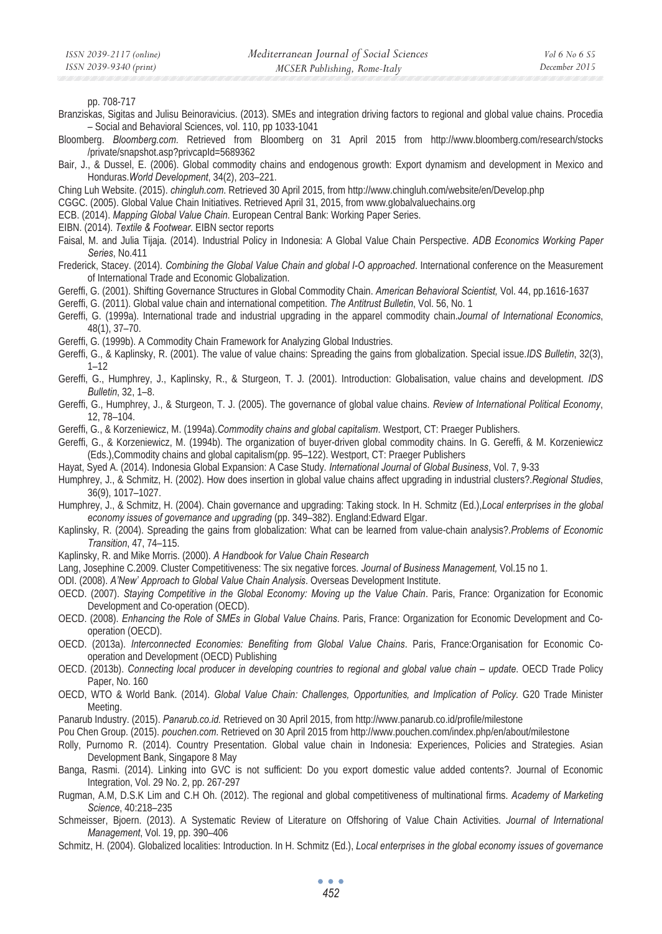pp. 708-717

- Branziskas, Sigitas and Julisu Beinoravicius. (2013). SMEs and integration driving factors to regional and global value chains. Procedia – Social and Behavioral Sciences, vol. 110, pp 1033-1041
- Bloomberg. *Bloomberg.com*. Retrieved from Bloomberg on 31 April 2015 from http://www.bloomberg.com/research/stocks /private/snapshot.asp?privcapId=5689362
- Bair, J., & Dussel, E. (2006). Global commodity chains and endogenous growth: Export dynamism and development in Mexico and Honduras.*World Development*, 34(2), 203–221.
- Ching Luh Website. (2015). *chingluh.com*. Retrieved 30 April 2015, from http://www.chingluh.com/website/en/Develop.php
- CGGC. (2005). Global Value Chain Initiatives. Retrieved April 31, 2015, from www.globalvaluechains.org
- ECB. (2014). *Mapping Global Value Chain*. European Central Bank: Working Paper Series.
- EIBN. (2014). *Textile & Footwear*. EIBN sector reports
- Faisal, M. and Julia Tijaja. (2014). Industrial Policy in Indonesia: A Global Value Chain Perspective. *ADB Economics Working Paper Series*, No.411
- Frederick, Stacey. (2014). *Combining the Global Value Chain and global I-O approached*. International conference on the Measurement of International Trade and Economic Globalization.
- Gereffi, G. (2001). Shifting Governance Structures in Global Commodity Chain. *American Behavioral Scientist,* Vol. 44, pp.1616-1637
- Gereffi, G. (2011). Global value chain and international competition. *The Antitrust Bulletin*, Vol. 56, No. 1
- Gereffi, G. (1999a). International trade and industrial upgrading in the apparel commodity chain.*Journal of International Economics*, 48(1), 37–70.
- Gereffi, G. (1999b). A Commodity Chain Framework for Analyzing Global Industries.
- Gereffi, G., & Kaplinsky, R. (2001). The value of value chains: Spreading the gains from globalization. Special issue.*IDS Bulletin*, 32(3), 1–12
- Gereffi, G., Humphrey, J., Kaplinsky, R., & Sturgeon, T. J. (2001). Introduction: Globalisation, value chains and development. *IDS Bulletin*, 32, 1–8.
- Gereffi, G., Humphrey, J., & Sturgeon, T. J. (2005). The governance of global value chains. *Review of International Political Economy*, 12, 78–104.
- Gereffi, G., & Korzeniewicz, M. (1994a).*Commodity chains and global capitalism*. Westport, CT: Praeger Publishers.
- Gereffi, G., & Korzeniewicz, M. (1994b). The organization of buyer-driven global commodity chains. In G. Gereffi, & M. Korzeniewicz (Eds.),Commodity chains and global capitalism(pp. 95–122). Westport, CT: Praeger Publishers
- Hayat, Syed A. (2014). Indonesia Global Expansion: A Case Study. *International Journal of Global Business*, Vol. 7, 9-33
- Humphrey, J., & Schmitz, H. (2002). How does insertion in global value chains affect upgrading in industrial clusters?.*Regional Studies*, 36(9), 1017–1027.
- Humphrey, J., & Schmitz, H. (2004). Chain governance and upgrading: Taking stock. In H. Schmitz (Ed.),*Local enterprises in the global economy issues of governance and upgrading (pp. 349–382). England: Edward Elgar.*
- Kaplinsky, R. (2004). Spreading the gains from globalization: What can be learned from value-chain analysis?.*Problems of Economic Transition*, 47, 74–115.
- Kaplinsky, R. and Mike Morris. (2000). *A Handbook for Value Chain Research*
- Lang, Josephine C.2009. Cluster Competitiveness: The six negative forces. *Journal of Business Management,* Vol.15 no 1.
- ODI. (2008). *A'New' Approach to Global Value Chain Analysis*. Overseas Development Institute.
- OECD. (2007). *Staying Competitive in the Global Economy: Moving up the Value Chain*. Paris, France: Organization for Economic Development and Co-operation (OECD).
- OECD. (2008). *Enhancing the Role of SMEs in Global Value Chains*. Paris, France: Organization for Economic Development and Cooperation (OECD).
- OECD. (2013a). *Interconnected Economies: Benefiting from Global Value Chains*. Paris, France:Organisation for Economic Cooperation and Development (OECD) Publishing
- OECD. (2013b). *Connecting local producer in developing countries to regional and global value chain update*. OECD Trade Policy Paper, No. 160
- OECD, WTO & World Bank. (2014). *Global Value Chain: Challenges, Opportunities, and Implication of Policy.* G20 Trade Minister Meeting.
- Panarub Industry. (2015). *Panarub.co.id.* Retrieved on 30 April 2015, from http://www.panarub.co.id/profile/milestone
- Pou Chen Group. (2015). *pouchen.com*. Retrieved on 30 April 2015 from http://www.pouchen.com/index.php/en/about/milestone
- Rolly, Purnomo R. (2014). Country Presentation. Global value chain in Indonesia: Experiences, Policies and Strategies. Asian Development Bank, Singapore 8 May
- Banga, Rasmi. (2014). Linking into GVC is not sufficient: Do you export domestic value added contents?. Journal of Economic Integration, Vol. 29 No. 2, pp. 267-297
- Rugman, A.M, D.S.K Lim and C.H Oh. (2012). The regional and global competitiveness of multinational firms. *Academy of Marketing Science*, 40:218–235
- Schmeisser, Bjoern. (2013). A Systematic Review of Literature on Offshoring of Value Chain Activities. *Journal of International Management*, Vol. 19, pp. 390–406
- Schmitz, H. (2004). Globalized localities: Introduction. In H. Schmitz (Ed.), *Local enterprises in the global economy issues of governance*